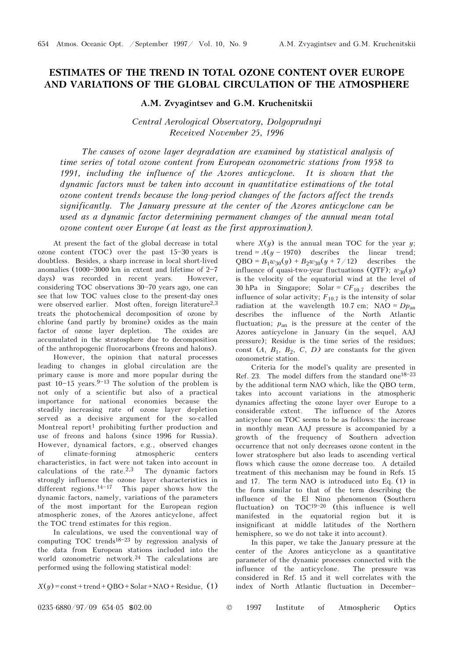## ESTIMATES OF THE TREND IN TOTAL OZONE CONTENT OVER EUROPE AND VARIATIONS OF THE GLOBAL CIRCULATION OF THE ATMOSPHERE

## A.M. Zvyagintsev and G.M. Kruchenitskii

Central Aerological Observatory, Dolgoprudnyi Received November 25, 1996

The causes of ozone layer degradation are examined by statistical analysis of time series of total ozone content from European ozonometric stations from 1958 to 1991, including the influence of the Azores anticyclone. It is shown that the dynamic factors must be taken into account in quantitative estimations of the total ozone content trends because the long-period changes of the factors affect the trends significantly. The January pressure at the center of the Azores anticyclone can be used as a dynamic factor determining permanent changes of the annual mean total ozone content over Europe (at least as the first approximation).

At present the fact of the global decrease in total ozone content (TOC) over the past  $15-30$  years is doubtless. Besides, a sharp increase in local short-lived anomalies (1000-3000 km in extent and lifetime of  $2-7$ days) was recorded in recent years. However, considering TOC observations  $30-70$  years ago, one can see that low TOC values close to the present-day ones were observed earlier. Most often, foreign literature<sup>2,3</sup> treats the photochemical decomposition of ozone by chlorine (and partly by bromine) oxides as the main factor of ozone layer depletion. The oxides are accumulated in the stratosphere due to decomposition of the anthropogenic fluorocarbons (freons and halons).

However, the opinion that natural processes leading to changes in global circulation are the primary cause is more and more popular during the past  $10-15$  years.<sup>9-13</sup> The solution of the problem is not only of a scientific but also of a practical importance for national economies because the steadily increasing rate of ozone layer depletion served as a decisive argument for the so-called Montreal report<sup>1</sup> prohibiting further production and use of freons and halons (since 1996 for Russia). However, dynamical factors, e.g., observed changes of climate-forming atmospheric centers characteristics, in fact were not taken into account in calculations of the rate.2,3 The dynamic factors strongly influence the ozone layer characteristics in different regions.<sup>14-17</sup> This paper shows how the dynamic factors, namely, variations of the parameters of the most important for the European region atmospheric zones, of the Azores anticyclone, affect the TOC trend estimates for this region.

In calculations, we used the conventional way of computing TOC trends<sup>18-23</sup> by regression analysis of the data from European stations included into the world ozonometric network.24 The calculations are performed using the following statistical model:

 $X(y) = \text{const} + \text{trend} + \text{QBO} + \text{Solar} + \text{NAO} + \text{Residue},$  (1)

where  $X(y)$  is the annual mean TOC for the year y; trend =  $A(y - 1970)$  describes the linear trend;  $QBO = B_1w_{30}(y) + B_2w_{30}(y + 7/12)$  describes the influence of quasi-two-year fluctuations (QTF);  $w_{30}(y)$ is the velocity of the equatorial wind at the level of 30 hPa in Singapore; Solar =  $CF_{10.7}$  describes the influence of solar activity;  $F_{10.7}$  is the intensity of solar radiation at the wavelength 10.7 cm; NAO =  $Dp_{an}$ describes the influence of the North Atlantic fluctuation;  $p_{\text{an}}$  is the pressure at the center of the Azores anticyclone in January (in the sequel, AAJ pressure); Residue is the time series of the residues; const  $(A, B_1, B_2, C, D)$  are constants for the given ozonometric station.

Criteria for the model's quality are presented in Ref. 23. The model differs from the standard one<sup>18-23</sup> by the additional term NAO which, like the QBO term, takes into account variations in the atmospheric dynamics affecting the ozone layer over Europe to a considerable extent. The influence of the Azores anticyclone on TOC seems to be as follows: the increase in monthly mean AAJ pressure is accompanied by a growth of the frequency of Southern advection occurrence that not only decreases ozone content in the lower stratosphere but also leads to ascending vertical flows which cause the ozone decrease too. A detailed treatment of this mechanism may be found in Refs. 15 and 17. The term NAO is introduced into Eq. (1) in the form similar to that of the term describing the influence of the El Nino phenomenon (Southern fluctuation) on  $TOC^{19-20}$  (this influence is well manifested in the equatorial region but it is insignificant at middle latitudes of the Northern hemisphere, so we do not take it into account).

In this paper, we take the January pressure at the center of the Azores anticyclone as a quantitative parameter of the dynamic processes connected with the influence of the anticyclone. The pressure was considered in Ref. 15 and it well correlates with the index of North Atlantic fluctuation in December-

0235-6880/97/09 654-05 \$02.00 © 1997 Institute of Atmospheric Optics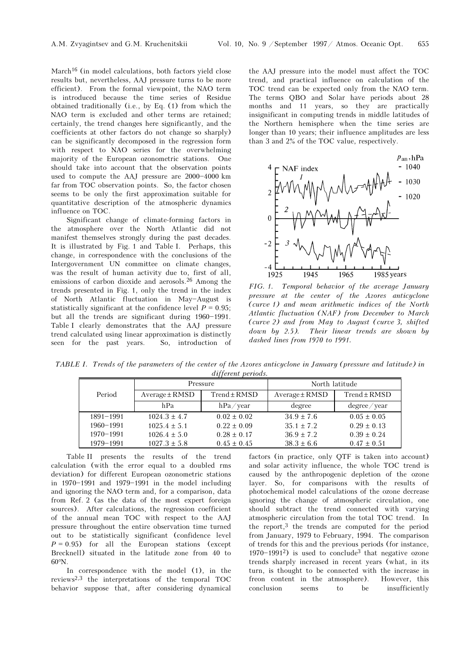March<sup>16</sup> (in model calculations, both factors yield close results but, nevertheless, AAJ pressure turns to be more efficient). From the formal viewpoint, the NAO term is introduced because the time series of Residue obtained traditionally (i.e., by Eq. (1) from which the NAO term is excluded and other terms are retained; certainly, the trend changes here significantly, and the coefficients at other factors do not change so sharply) can be significantly decomposed in the regression form with respect to NAO series for the overwhelming majority of the European ozonometric stations. One should take into account that the observation points used to compute the AAJ pressure are  $2000 - 4000$  km far from TOC observation points. So, the factor chosen seems to be only the first approximation suitable for quantitative description of the atmospheric dynamics influence on TOC.

Significant change of climate-forming factors in the atmosphere over the North Atlantic did not manifest themselves strongly during the past decades. It is illustrated by Fig. 1 and Table I. Perhaps, this change, in correspondence with the conclusions of the Intergovernment UN committee on climate changes, was the result of human activity due to, first of all, emissions of carbon dioxide and aerosols.26 Among the trends presented in Fig. 1, only the trend in the index of North Atlantic fluctuation in May-August is statistically significant at the confidence level  $P = 0.95$ ; but all the trends are significant during  $1960 - 1991$ . Table I clearly demonstrates that the AAJ pressure trend calculated using linear approximation is distinctly seen for the past years. So, introduction of

the AAJ pressure into the model must affect the TOC trend, and practical influence on calculation of the TOC trend can be expected only from the NAO term. The terms QBO and Solar have periods about 28 months and 11 years, so they are practically insignificant in computing trends in middle latitudes of the Northern hemisphere when the time series are longer than 10 years; their influence amplitudes are less than 3 and 2% of the TOC value, respectively.



FIG. 1. Temporal behavior of the average January pressure at the center of the Azores anticyclone (curve 1) and mean arithmetic indices of the North Atlantic fluctuation (NAF) from December to March (curve 2) and from May to August (curve 3, shifted down by 2.5). Their linear trends are shown by dashed lines from 1970 to 1991.

TABLE I. Trends of the parameters of the center of the Azores anticyclone in January (pressure and latitude) in different periods.

|               |                    | Pressure         | North latitude     |                  |  |  |  |  |  |  |
|---------------|--------------------|------------------|--------------------|------------------|--|--|--|--|--|--|
| Period        | $Average \pm RMSD$ | $Trend \pm RMSD$ | $Average \pm RMSD$ | $Trend \pm RMSD$ |  |  |  |  |  |  |
|               | hPa                | $hPa$ /year      | degree             | degree/year      |  |  |  |  |  |  |
| $1891 - 1991$ | $1024.3 \pm 4.7$   | $0.02 \pm 0.02$  | $34.9 \pm 7.6$     | $0.05 \pm 0.05$  |  |  |  |  |  |  |
| $1960 - 1991$ | $1025.4 \pm 5.1$   | $0.22 \pm 0.09$  | $35.1 \pm 7.2$     | $0.29 \pm 0.13$  |  |  |  |  |  |  |
| $1970 - 1991$ | $1026.4 \pm 5.0$   | $0.28 \pm 0.17$  | $36.9 \pm 7.2$     | $0.39 \pm 0.24$  |  |  |  |  |  |  |
| 1979-1991     | $1027.3 \pm 5.8$   | $0.45 \pm 0.45$  | $38.3 \pm 6.6$     | $0.47 \pm 0.51$  |  |  |  |  |  |  |

Table II presents the results of the trend calculation (with the error equal to a doubled rms deviation) for different European ozonometric stations in  $1970 - 1991$  and  $1979 - 1991$  in the model including and ignoring the NAO term and, for a comparison, data from Ref. 2 (as the data of the most expert foreign sources). After calculations, the regression coefficient of the annual mean TOC with respect to the AAJ pressure throughout the entire observation time turned out to be statistically significant (confidence level  $P = 0.95$ ) for all the European stations (except Brecknell) situated in the latitude zone from 40 to 60°N.

In correspondence with the model (1), in the reviews2,3 the interpretations of the temporal TOC behavior suppose that, after considering dynamical factors (in practice, only QTF is taken into account) and solar activity influence, the whole TOC trend is caused by the anthropogenic depletion of the ozone layer. So, for comparisons with the results of photochemical model calculations of the ozone decrease ignoring the change of atmospheric circulation, one should subtract the trend connected with varying atmospheric circulation from the total TOC trend. In the report, $3$  the trends are computed for the period from January, 1979 to February, 1994. The comparison of trends for this and the previous periods (for instance, 1970 $-1991^2$ ) is used to conclude<sup>3</sup> that negative ozone trends sharply increased in recent years (what, in its turn, is thought to be connected with the increase in freon content in the atmosphere). However, this conclusion seems to be insufficiently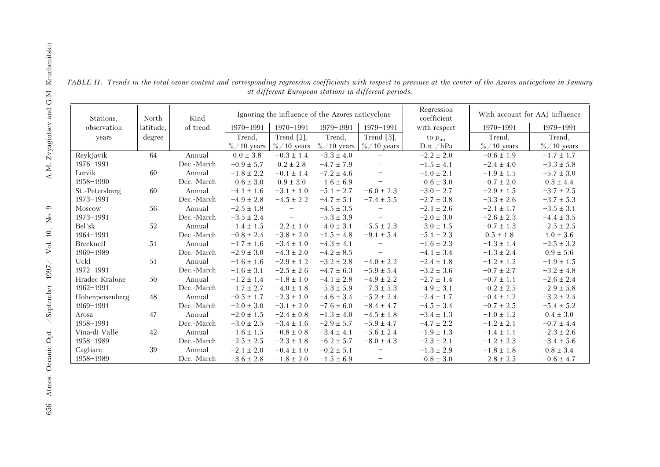| $K_{\rm rad}$            | TAB                                                                                                                      |  |  |  |
|--------------------------|--------------------------------------------------------------------------------------------------------------------------|--|--|--|
|                          | $\overline{\mathrm{R}}$<br>19<br>L $\epsilon$<br>19                                                                      |  |  |  |
| N<br>O<br>1997 / Vol. 1  | St<br>19<br>M<br>19<br>B <sub>6</sub><br>19<br>Bi<br>19<br>$\mathbf{U}$<br>$\frac{19}{\text{H}}$<br>19<br>$\frac{H}{19}$ |  |  |  |
| Oceanic Opt. / September | 19<br>Vi<br>19<br>C<br>$\frac{19}{1}$                                                                                    |  |  |  |
| 656                      |                                                                                                                          |  |  |  |
|                          |                                                                                                                          |  |  |  |

TABLE II. Trends in the total ozone content and corresponding regression coefficients with respect to pressure at the center of the Azores anticyclone in January at different European stations in different periods.

| Stations,       | North     | Kind       | Ignoring the influence of the Azores anticyclone |                                   |                | Regression<br>coefficient | With account for AAJ influence |                |                |
|-----------------|-----------|------------|--------------------------------------------------|-----------------------------------|----------------|---------------------------|--------------------------------|----------------|----------------|
| observation     | latitude. | of trend   | $1970 - 1991$                                    | $1970 - 1991$                     | 1979-1991      | 1979-1991                 | with respect                   | $1970 - 1991$  | 1979-1991      |
| years           | degree    |            | Trend,                                           | Trend $[2]$ ,                     | Trend,         | Trend [3],                | to $p_{an}$                    | Trend,         | Trend,         |
|                 |           |            | $\%/10$ years                                    | $\%/10$ years                     | $\%/10$ years  | $\%/10$ years             | D.u./hPa                       | $\%/10$ years  | $\%/10$ years  |
| Reykjavik       | 64        | Annual     | $0.0 \pm 3.8$                                    | $-0.3 \pm 1.4$                    | $-3.3 \pm 4.0$ | $\qquad \qquad -$         | $-2.2 \pm 2.0$                 | $-0.6 \pm 1.9$ | $-1.7 \pm 1.7$ |
| 1976-1991       |           | Dec.-March | $-0.9 \pm 5.7$                                   | $0.2 \pm 2.8$                     | $-4.7 \pm 7.9$ |                           | $-1.5 \pm 4.1$                 | $-2.4 \pm 4.0$ | $-3.3 \pm 5.8$ |
| Lervik          | 60        | Annual     | $-1.8 \pm 2.2$                                   | $-0.1 \pm 1.4$                    | $-7.2 \pm 4.6$ | $\qquad \qquad -$         | $-1.0 \pm 2.1$                 | $-1.9 \pm 1.5$ | $-5.7 \pm 3.0$ |
| 1958-1990       |           | Dec.-March | $-0.6 \pm 3.0$                                   | $0.9 \pm 3.0$                     | $-1.6 \pm 6.9$ | $\qquad \qquad -$         | $-0.6 \pm 3.0$                 | $-0.7 \pm 2.0$ | $0.3 \pm 4.4$  |
| St.-Petersburg  | 60        | Annual     | $-4.1 \pm 1.6$                                   | $-3.1 \pm 1.0$                    | $-5.1 \pm 2.7$ | $-6.0 \pm 2.3$            | $-3.0 \pm 2.7$                 | $-2.9 \pm 1.5$ | $-3.7 \pm 2.5$ |
| 1973-1991       |           | Dec.-March | $-4.9 \pm 2.8$                                   | $-4.5 \pm 2.2$                    | $-4.7 \pm 5.1$ | $-7.4 \pm 5.5$            | $-2.7 \pm 3.8$                 | $-3.3 \pm 2.6$ | $-3.7 \pm 5.3$ |
| Moscow          | 56        | Annual     | $-2.5 \pm 1.8$                                   |                                   | $-4.5 \pm 3.5$ |                           | $-2.1 \pm 2.6$                 | $-2.1 \pm 1.7$ | $-3.5 \pm 3.1$ |
| 1973-1991       |           | Dec.-March | $-3.5 \pm 2.4$                                   | $\hspace{1.0cm} - \hspace{1.0cm}$ | $-5.3 \pm 3.9$ | $\qquad \qquad -$         | $-2.0 \pm 3.0$                 | $-2.6 \pm 2.3$ | $-4.4 \pm 3.5$ |
| Bel'sk          | 52        | Annual     | $-1.4 \pm 1.5$                                   | $-2.2 \pm 1.0$                    | $-4.0 \pm 3.1$ | $-5.5 \pm 2.3$            | $-3.0 \pm 1.5$                 | $-0.7 \pm 1.3$ | $-2.5 \pm 2.5$ |
| 1964-1991       |           | Dec.-March | $-0.8 \pm 2.4$                                   | $-3.8 \pm 2.0$                    | $-1.5 \pm 4.8$ | $-9.1 \pm 5.4$            | $-5.1 \pm 2.3$                 | $0.5 \pm 1.8$  | $1.0 \pm 3.6$  |
| Brecknell       | 51        | Annual     | $-1.7 \pm 1.6$                                   | $-3.4 \pm 1.0$                    | $-4.3 \pm 4.1$ |                           | $-1.6 \pm 2.3$                 | $-1.3 \pm 1.4$ | $-2.5 \pm 3.2$ |
| 1969-1989       |           | Dec.-March | $-2.9 \pm 3.0$                                   | $-4.3 \pm 2.0$                    | $-4.2 \pm 8.5$ |                           | $-4.1 \pm 3.4$                 | $-1.3 \pm 2.4$ | $0.9 \pm 5.6$  |
| Uckl            | 51        | Annual     | $-1.6 \pm 1.6$                                   | $-2.9 \pm 1.2$                    | $-3.2 \pm 2.8$ | $-4.0 \pm 2.2$            | $-2.4 \pm 1.8$                 | $-1.2 \pm 1.2$ | $-1.9 \pm 1.5$ |
| 1972-1991       |           | Dec.-March | $-1.6 \pm 3.1$                                   | $-2.5 \pm 2.6$                    | $-4.7 \pm 6.3$ | $-5.9 \pm 5.4$            | $-3.2 \pm 3.6$                 | $-0.7 \pm 2.7$ | $-3.2 \pm 4.8$ |
| Hradec Kralone  | 50        | Annual     | $-1.2 \pm 1.4$                                   | $-1.8 \pm 1.0$                    | $-4.1 \pm 2.8$ | $-4.9 \pm 2.2$            | $-2.7 \pm 1.4$                 | $-0.7 \pm 1.1$ | $-2.6 \pm 2.4$ |
| 1962-1991       |           | Dec.-March | $-1.7 \pm 2.7$                                   | $-4.0 \pm 1.8$                    | $-5.3\pm5.9$   | $-7.3 \pm 5.3$            | $-4.9 \pm 3.1$                 | $-0.2 \pm 2.5$ | $-2.9 \pm 5.8$ |
| Hohenpeisenberg | 48        | Annual     | $-0.5 \pm 1.7$                                   | $-2.3 \pm 1.0$                    | $-4.6 \pm 3.4$ | $-5.2 \pm 2.4$            | $-2.4 \pm 1.7$                 | $-0.4 \pm 1.2$ | $-3.2 \pm 2.4$ |
| 1969-1991       |           | Dec.-March | $-2.0 \pm 3.0$                                   | $-3.1 \pm 2.0$                    | $-7.6 \pm 6.0$ | $-8.4 \pm 4.7$            | $-4.5 \pm 3.4$                 | $-0.7 \pm 2.5$ | $-5.4 \pm 5.2$ |
| Arosa           | 47        | Annual     | $-2.0 \pm 1.5$                                   | $-2.4 \pm 0.8$                    | $-1.3 \pm 4.0$ | $-4.5 \pm 1.8$            | $-3.4 \pm 1.3$                 | $-1.0 \pm 1.2$ | $0.4 \pm 3.0$  |
| 1958-1991       |           | Dec.-March | $-3.0 \pm 2.5$                                   | $-3.4 \pm 1.6$                    | $-2.9 \pm 5.7$ | $-5.9 \pm 4.7$            | $-4.7 \pm 2.2$                 | $-1.2 \pm 2.1$ | $-0.7 \pm 4.4$ |
| Vina-di Valle   | 42        | Annual     | $-1.6 \pm 1.5$                                   | $-0.8 \pm 0.8$                    | $-3.4 \pm 4.1$ | $-5.6 \pm 2.4$            | $-1.9 \pm 1.3$                 | $-1.4 \pm 1.1$ | $-2.3 \pm 2.6$ |
| 1958-1989       |           | Dec.-March | $-2.5 \pm 2.5$                                   | $-2.3 \pm 1.8$                    | $-6.2 \pm 5.7$ | $-8.0 \pm 4.3$            | $-2.3 \pm 2.1$                 | $-1.2 \pm 2.3$ | $-3.4 \pm 5.6$ |
| Cagliare        | 39        | Annual     | $-2.1 \pm 2.0$                                   | $-0.4 \pm 1.0$                    | $-0.2 \pm 5.1$ |                           | $-1.3 \pm 2.9$                 | $-1.8 \pm 1.8$ | $0.8 \pm 3.4$  |
| 1958-1989       |           | Dec.-March | $-3.6 \pm 2.8$                                   | $-1.8 \pm 2.0$                    | $-1.5 \pm 6.9$ | $\overline{\phantom{0}}$  | $-0.8 \pm 3.0$                 | $-2.8 \pm 2.5$ | $-0.6 \pm 4.7$ |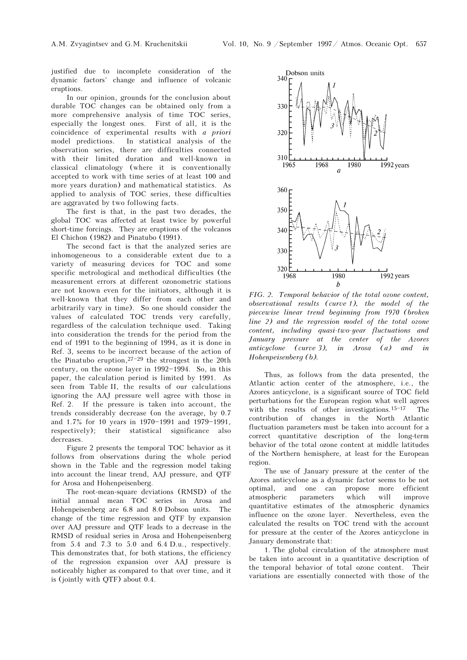justified due to incomplete consideration of the dynamic factors' change and influence of volcanic eruptions.

In our opinion, grounds for the conclusion about durable TOC changes can be obtained only from a more comprehensive analysis of time TOC series, especially the longest ones. First of all, it is the coincidence of experimental results with a priori model predictions. In statistical analysis of the observation series, there are difficulties connected with their limited duration and well-known in classical climatology (where it is conventionally accepted to work with time series of at least 100 and more years duration) and mathematical statistics. As applied to analysis of TOC series, these difficulties are aggravated by two following facts.

The first is that, in the past two decades, the global TOC was affected at least twice by powerful short-time forcings. They are eruptions of the volcanos El Chichon (1982) and Pinatubo (1991).

The second fact is that the analyzed series are inhomogeneous to a considerable extent due to a variety of measuring devices for TOC and some specific metrological and methodical difficulties (the measurement errors at different ozonometric stations are not known even for the initiators, although it is well-known that they differ from each other and arbitrarily vary in time). So one should consider the values of calculated TOC trends very carefully, regardless of the calculation technique used. Taking into consideration the trends for the period from the end of 1991 to the beginning of 1994, as it is done in Ref. 3, seems to be incorrect because of the action of the Pinatubo eruption,  $27-29$  the strongest in the 20th century, on the ozone layer in  $1992-1994$ . So, in this paper, the calculation period is limited by 1991. As seen from Table II, the results of our calculations ignoring the AAJ pressure well agree with those in Ref. 2. If the pressure is taken into account, the trends considerably decrease (on the average, by 0.7 and 1.7% for 10 years in 1970-1991 and 1979-1991, respectively); their statistical significance also decreases.

Figure 2 presents the temporal TOC behavior as it follows from observations during the whole period shown in the Table and the regression model taking into account the linear trend, AAJ pressure, and QTF for Arosa and Hohenpeisenberg.

The root-mean-square deviations (RMSD) of the initial annual mean TOC series in Arosa and Hohenpeisenberg are 6.8 and 8.0 Dobson units. The change of the time regression and QTF by expansion over AAJ pressure and QTF leads to a decrease in the RMSD of residual series in Arosa and Hohenpeisenberg from 5.4 and 7.3 to 5.0 and 6.4 D.u., respectively. This demonstrates that, for both stations, the efficiency of the regression expansion over AAJ pressure is noticeably higher as compared to that over time, and it is (jointly with QTF) about 0.4.



FIG. 2. Temporal behavior of the total ozone content, observational results (curve 1), the model of the piecewise linear trend beginning from 1970 (broken line 2) and the regression model of the total ozone content, including quasi-two-year fluctuations and January pressure at the center of the Azores anticyclone (curve 3), in Arosa (a) and in Hohenpeisenberg (b).

Thus, as follows from the data presented, the Atlantic action center of the atmosphere, i.e., the Azores anticyclone, is a significant source of TOC field perturbations for the European region what well agrees with the results of other investigations. $15-17$  The contribution of changes in the North Atlantic fluctuation parameters must be taken into account for a correct quantitative description of the long-term behavior of the total ozone content at middle latitudes of the Northern hemisphere, at least for the European region.

The use of January pressure at the center of the Azores anticyclone as a dynamic factor seems to be not optimal, and one can propose more efficient atmospheric parameters which will improve quantitative estimates of the atmospheric dynamics influence on the ozone layer. Nevertheless, even the calculated the results on TOC trend with the account for pressure at the center of the Azores anticyclone in January demonstrate that:

1. The global circulation of the atmosphere must be taken into account in a quantitative description of the temporal behavior of total ozone content. Their variations are essentially connected with those of the